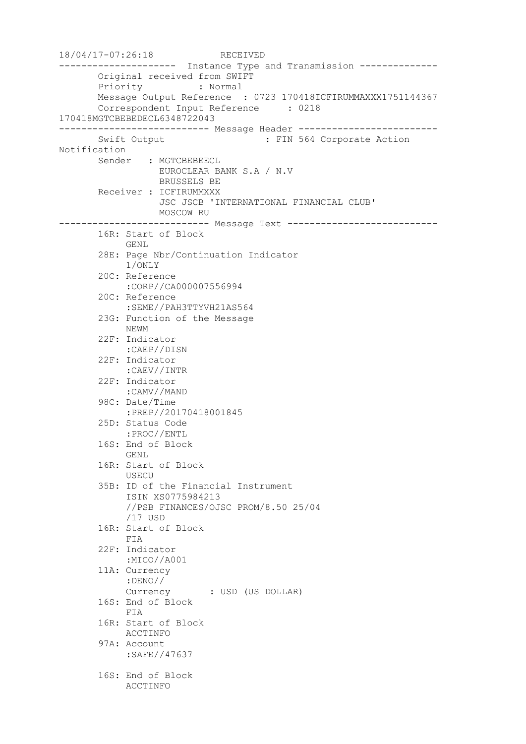18/04/17-07:26:18 RECEIVED --------------------- Instance Type and Transmission -------------- Original received from SWIFT Priority : Normal Message Output Reference : 0723 170418ICFIRUMMAXXX1751144367 Correspondent Input Reference : 0218 170418MGTCBEBEDECL6348722043 --------------------------- Message Header ------------------------- Swift Output : FIN 564 Corporate Action Notification Sender : MGTCBEBEECL EUROCLEAR BANK S.A / N.V BRUSSELS BE Receiver : ICFIRUMMXXX JSC JSCB 'INTERNATIONAL FINANCIAL CLUB' MOSCOW RU --------------------------- Message Text --------------------------- 16R: Start of Block GENL 28E: Page Nbr/Continuation Indicator 1/ONLY 20C: Reference :CORP//CA000007556994 20C: Reference :SEME//PAH3TTYVH21AS564 23G: Function of the Message NEWM 22F: Indicator :CAEP//DISN 22F: Indicator :CAEV//INTR 22F: Indicator :CAMV//MAND 98C: Date/Time :PREP//20170418001845 25D: Status Code :PROC//ENTL 16S: End of Block GENL 16R: Start of Block USECU 35B: ID of the Financial Instrument ISIN XS0775984213 //PSB FINANCES/OJSC PROM/8.50 25/04 /17 USD 16R: Start of Block FIA 22F: Indicator :MICO//A001 11A: Currency :DENO// Currency : USD (US DOLLAR) 16S: End of Block FIA 16R: Start of Block ACCTINFO 97A: Account :SAFE//47637 16S: End of Block ACCTINFO